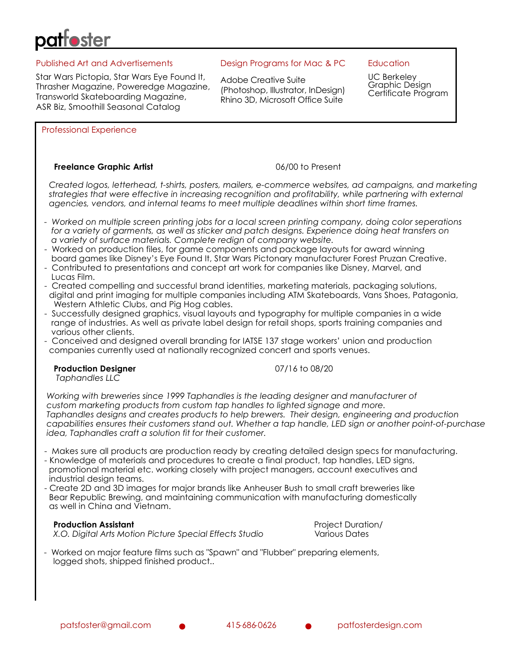# Published Art and Advertisements

Star Wars Pictopia, Star Wars Eye Found It, Thrasher Magazine, Poweredge Magazine, Transworld Skateboarding Magazine, ASR Biz, Smoothill Seasonal Catalog

## Design Programs for Mac & PC

Adobe Creative Suite (Photoshop, Illustrator, InDesign) Rhino 3D, Microsoft Office Suite

## **Education**

UC Berkeley Graphic Design Certificate Program

Professional Experience

# **Freelance Graphic Artist Contract Contract Contract Contract Contract Contract Contract Contract Contract Contract Contract Contract Contract Contract Contract Contract Contract Contract Contract Contract Contract Contr**

 *Created logos, letterhead, t-shirts, posters, mailers, e-commerce websites, ad campaigns, and marketing strategies that were effective in increasing recognition and profitability, while partnering with external agencies, vendors, and internal teams to meet multiple deadlines within short time frames.*

- *Worked on multiple screen printing jobs for a local screen printing company, doing color seperations for a variety of garments, as well as sticker and patch designs. Experience doing heat transfers on a variety of surface materials. Complete redign of company website.*
- Worked on production files, for game components and package layouts for award winning board games like Disney's Eye Found It, Star Wars Pictonary manufacturer Forest Pruzan Creative.
- Contributed to presentations and concept art work for companies like Disney, Marvel, and Lucas Film.
- Created compelling and successful brand identities, marketing materials, packaging solutions, digital and print imaging for multiple companies including ATM Skateboards, Vans Shoes, Patagonia, Western Athletic Clubs, and Pig Hog cables.
- Successfully designed graphics, visual layouts and typography for multiple companies in a wide range of industries. As well as private label design for retail shops, sports training companies and various other clients.
- Conceived and designed overall branding for IATSE 137 stage workers' union and production companies currently used at nationally recognized concert and sports venues.

### **Production Designer** 2002 2004 2007/16 to 08/20

*Taphandles LLC*

 *Working with breweries since 1999 Taphandles is the leading designer and manufacturer of custom marketing products from custom tap handles to lighted signage and more. Taphandles designs and creates products to help brewers. Their design, engineering and production capabilities ensures their customers stand out. Whether a tap handle, LED sign or another point-of-purchase idea, Taphandles craft a solution fit for their customer.* 

- Makes sure all products are production ready by creating detailed design specs for manufacturing.
- Knowledge of materials and procedures to create a final product, tap handles, LED signs, promotional material etc. working closely with project managers, account executives and industrial design teams.
- Create 2D and 3D images for major brands like Anheuser Bush to small craft breweries like Bear Republic Brewing, and maintaining communication with manufacturing domestically as well in China and Vietnam.

 **Production Assistant** Project Duration/ *X.O. Digital Arts Motion Picture Special Effects Studio* Various Dates

 - Worked on major feature films such as "Spawn" and "Flubber" preparing elements, logged shots, shipped finished product..